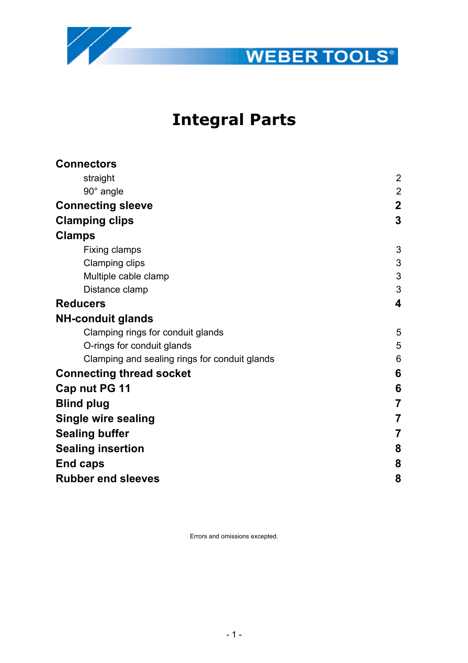



# **Integral Parts**

| <b>Connectors</b>                             |                |
|-----------------------------------------------|----------------|
| straight                                      | $\overline{2}$ |
| 90° angle                                     | $\overline{2}$ |
| <b>Connecting sleeve</b>                      | $\overline{2}$ |
| <b>Clamping clips</b>                         | 3              |
| <b>Clamps</b>                                 |                |
| Fixing clamps                                 | 3              |
| <b>Clamping clips</b>                         | 3              |
| Multiple cable clamp                          | 3              |
| Distance clamp                                | 3              |
| <b>Reducers</b>                               | 4              |
| <b>NH-conduit glands</b>                      |                |
| Clamping rings for conduit glands             | 5              |
| O-rings for conduit glands                    | 5              |
| Clamping and sealing rings for conduit glands | 6              |
| <b>Connecting thread socket</b>               | 6              |
| Cap nut PG 11                                 | 6              |
| <b>Blind plug</b>                             | $\overline{7}$ |
| <b>Single wire sealing</b>                    | $\overline{7}$ |
| <b>Sealing buffer</b>                         | $\overline{7}$ |
| <b>Sealing insertion</b>                      | 8              |
| End caps                                      | 8              |
| <b>Rubber end sleeves</b>                     | 8              |
|                                               |                |

Errors and omissions excepted.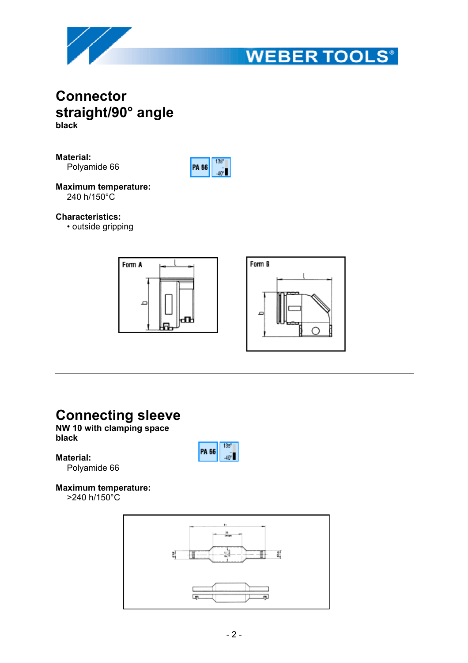



## **Connector straight/90° angle black**

**Material:**

Polyamide 66



**Maximum temperature:** 240 h/150°C

## **Characteristics:**

• outside gripping



## **Connecting sleeve**

## **NW 10 with clamping space black**

## **Material:**



Polyamide 66

## **Maximum temperature:**

>240 h/150°C

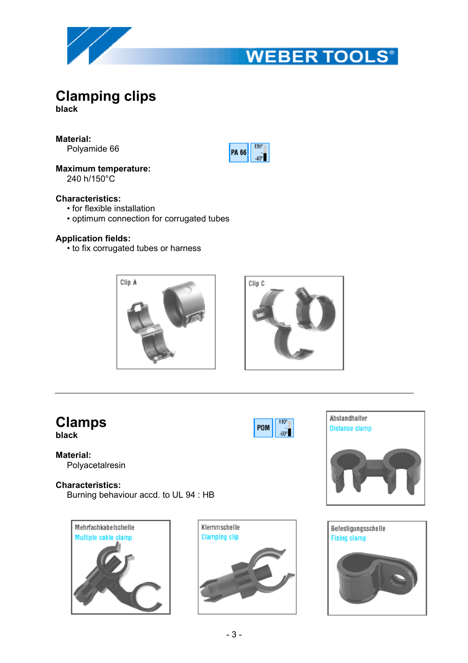

# **WEBER TOOLS®**

# **Clamping clips**

**black**

**Material:**

Polyamide 66

**Maximum temperature:**

240 h/150°C

## **Characteristics:**

- for flexible installation
- optimum connection for corrugated tubes

## **Application fields:**

• to fix corrugated tubes or harness





 $110<sup>o</sup>$ 

 $-60^{\circ}$ 

POM

135

 $-40^{\circ}$ 

PA 66

## **Clamps**

**black**

**Material:** Polyacetalresin

## **Characteristics:**

Burning behaviour accd. to UL 94 : HB







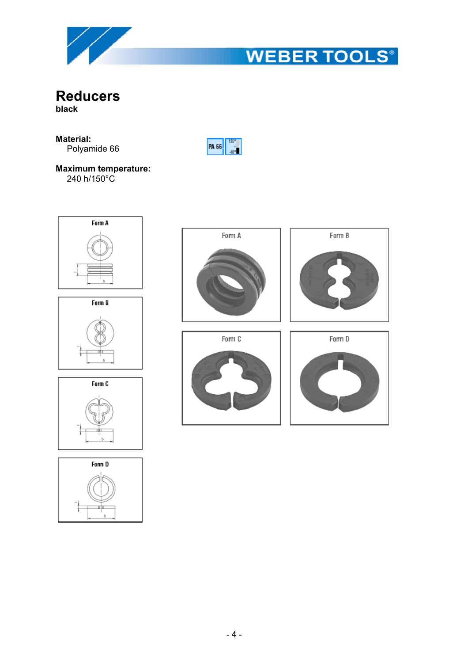

# **WEBER TOOLS®**

**Reducers black**

## **Material:** Polyamide 66



240 h/150°C

















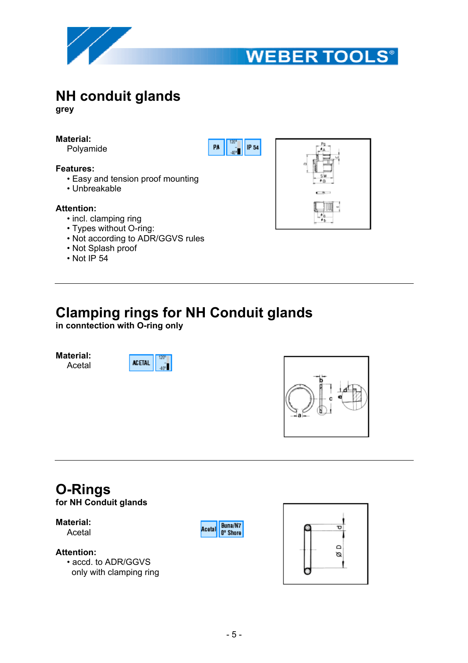



# **NH conduit glands**

**grey**

## **Material:**

Polyamide

#### **Features:**

- Easy and tension proof mounting
- Unbreakable

#### **Attention:**

- incl. clamping ring
- Types without O-ring:
- Not according to ADR/GGVS rules
- Not Splash proof
- $\cdot$  Not IP 54





## **Clamping rings for NH Conduit glands**

**in conntection with O-ring only**

**Material:** Acetal

**ACETAL**  $\sqrt{a}$ 



# **O-Rings**

**for NH Conduit glands**

**Material:**

Acetal

### **Attention:**

• accd. to ADR/GGVS only with clamping ring



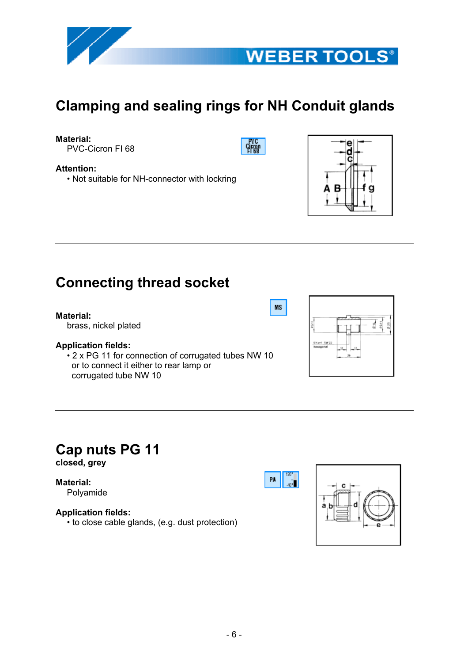



# **Clamping and sealing rings for NH Conduit glands**

## **Material:**

**Attention:**

PVC-Cicron FI 68

Gjeror

**MS** 

PA |



## **Connecting thread socket**

• Not suitable for NH-connector with lockring

#### **Material:**

brass, nickel plated

## **Application fields:**

• 2 x PG 11 for connection of corrugated tubes NW 10 or to connect it either to rear lamp or corrugated tube NW 10



# **Cap nuts PG 11**

**closed, grey**

## **Material:**

Polyamide

## **Application fields:**

• to close cable glands, (e.g. dust protection)

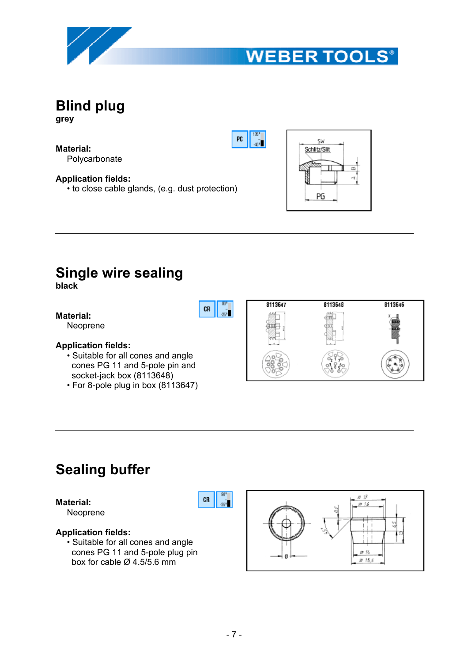



**Blind plug grey**

**Material:** Polycarbonate

**Application fields:** • to close cable glands, (e.g. dust protection)



 $135$ 

 $\hat{\mathbf{m}}$ 

PC

 $CR$ 

## **Single wire sealing**

**black**

**Material:**

Neoprene

## **Application fields:**

- Suitable for all cones and angle cones PG 11 and 5-pole pin and socket-jack box (8113648)
- For 8-pole plug in box (8113647)



## **Sealing buffer**

### **Material:**

Neoprene

## **Application fields:**

• Suitable for all cones and angle cones PG 11 and 5-pole plug pin box for cable  $\varnothing$  4.5/5.6 mm



 $90<sup>o</sup>$ 

 $_{25}\mathbf{\bar{1}}$ 

CR